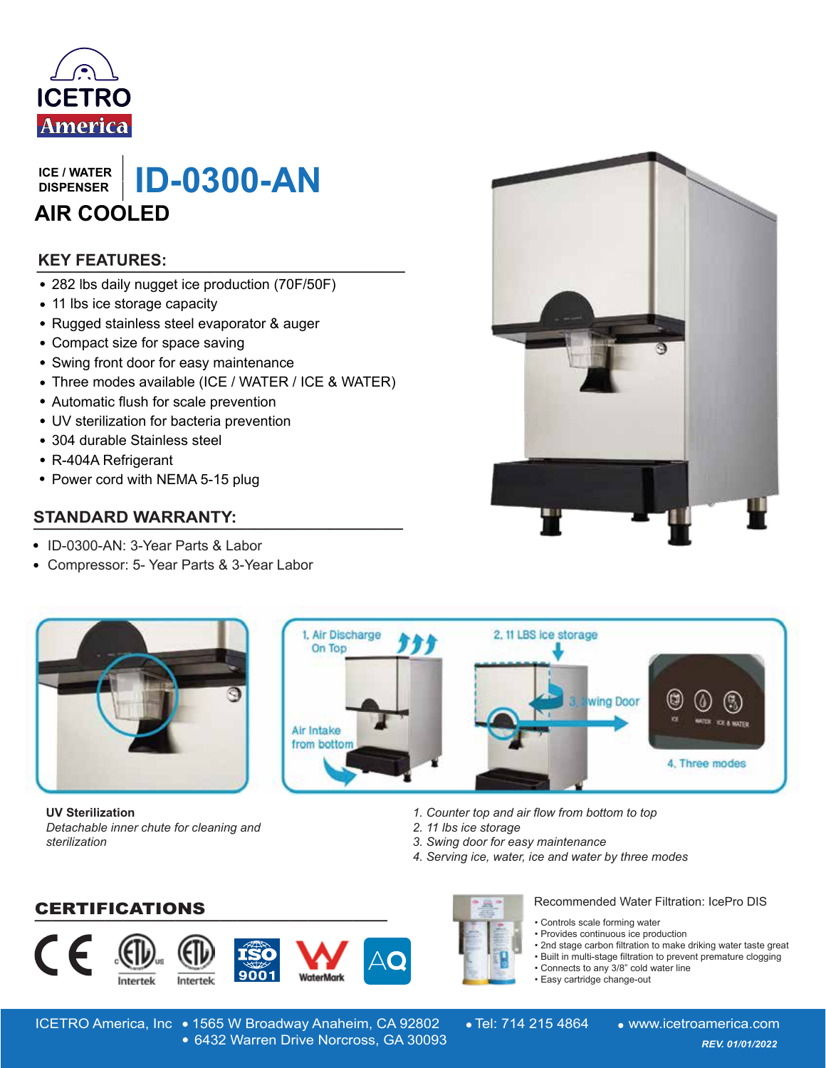

**DISPENSER**

**ISPENSER | ID-0300-AN ICE / WATER**<br>
DISPENSER<br> **AIR COOLED**<br> **KEY FEATURES:**<br>
• 282 lbs daily nugget ice production (70F/50F)<br>
• 11 lbs ice storage capacity<br>
• Rugged stainless steel evaporator & auger<br>
• Compact size for space saving<br>
• Swing **AIR COOLED**

## **\_\_\_\_\_\_\_\_\_\_\_\_\_\_\_\_\_\_\_\_\_\_\_\_\_\_\_\_\_\_ KEY FEATURES:**

- 282 lbs daily nugget ice production (70F/50F)
- 11 lbs ice storage capacity
- Rugged stainless steel evaporator & auger
- Compact size for space saving
- Swing front door for easy maintenance
- Three modes available (ICE / WATER / ICE & WATER)
- Automatic flush for scale prevention
- UV sterilization for bacteria prevention
- 304 durable Stainless steel
- R-404A Refrigerant
- Power cord with NEMA 5-15 plug

### **STANDARD WARRANTY:**

- ID-0300-AN: 3-Year Parts & Labor
- Compressor: 5- Year Parts & 3-Year Labor



**UV Sterilization** *Detachable inner chute for cleaning and sterilization*



- *1. Counter top and air flow from bottom to top*
- *2. 11 lbs ice storage*
- *3. Swing door for easy maintenance*
- *4. Serving ice, water, ice and water by three modes*

**\_\_\_\_\_\_\_\_\_\_\_\_\_\_\_\_\_\_\_\_\_\_\_\_\_\_\_\_\_\_\_\_\_\_\_\_\_\_\_\_** CERTIFICATIONS









Recommended Water Filtration: IcePro DIS

- Controls scale forming water
- Provides continuous ice production
- 2nd stage carbon filtration to make driking water taste great
- Built in multi-stage filtration to prevent premature clogging
- Connects to any 3/8" cold water line
- Easy cartridge change-out

ICETRO America, Inc • 1565 W Broadway Anaheim, CA 92802 • Tel: 714 215 4864 • www.icetroamerica.com 6432 Warren Drive Norcross, GA 30093 *REV. 01/01/2022* 6432 Warren Drive Norcross, GA 30093